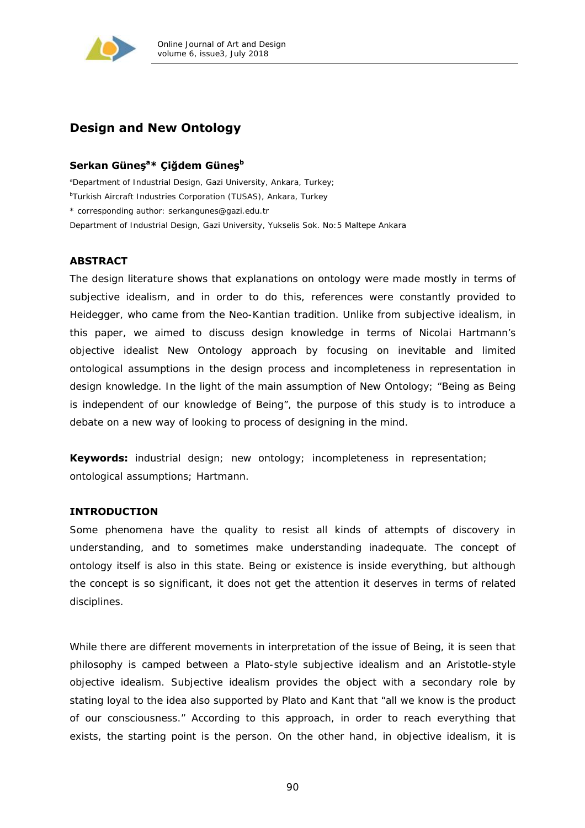

# **Design and New Ontology**

## **Serkan Güneş<sup>a</sup> \* Çiğdem Güneş<sup>b</sup>**

*a Department of Industrial Design, Gazi University, Ankara, Turkey; b Turkish Aircraft Industries Corporation (TUSAS), Ankara, Turkey \* corresponding author: serkangunes@gazi.edu.tr Department of Industrial Design, Gazi University, Yukselis Sok. No:5 Maltepe Ankara* 

## **ABSTRACT**

The design literature shows that explanations on ontology were made mostly in terms of subjective idealism, and in order to do this, references were constantly provided to Heidegger, who came from the Neo-Kantian tradition. Unlike from subjective idealism, in this paper, we aimed to discuss design knowledge in terms of Nicolai Hartmann's objective idealist New Ontology approach by focusing on inevitable and limited ontological assumptions in the design process and incompleteness in representation in design knowledge. In the light of the main assumption of New Ontology; "*Being as Being is independent of our knowledge of Being"*, the purpose of this study is to introduce a debate on a new way of looking to process of designing in the mind.

**Keywords:** industrial design; new ontology; incompleteness in representation; ontological assumptions; Hartmann.

## **INTRODUCTION**

Some phenomena have the quality to resist all kinds of attempts of discovery in understanding, and to sometimes make understanding inadequate. The concept of ontology itself is also in this state. Being or existence is inside everything, but although the concept is so significant, it does not get the attention it deserves in terms of related disciplines.

While there are different movements in interpretation of the issue of Being, it is seen that philosophy is camped between a Plato-style subjective idealism and an Aristotle-style objective idealism. Subjective idealism provides the object with a secondary role by stating loyal to the idea also supported by Plato and Kant that "all we know is the product of our consciousness." According to this approach, in order to reach everything that exists, the starting point is the person. On the other hand, in objective idealism, it is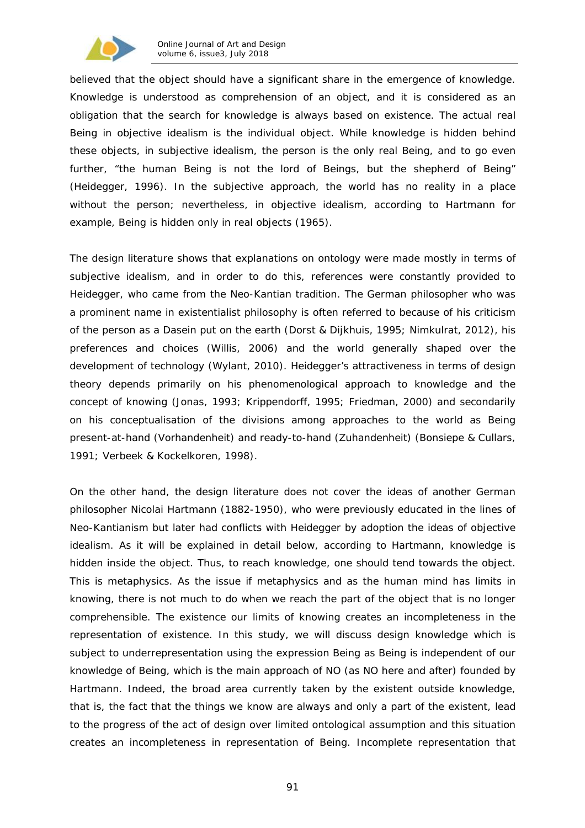

believed that the object should have a significant share in the emergence of knowledge. Knowledge is understood as comprehension of an object, and it is considered as an obligation that the search for knowledge is always based on existence. The actual real Being in objective idealism is the individual object. While knowledge is hidden behind these objects, in subjective idealism, the person is the only real Being, and to go even further, "*the human Being is not the lord of Beings, but the shepherd of Being"*  (Heidegger, 1996). In the subjective approach, the world has no reality in a place without the person; nevertheless, in objective idealism, according to Hartmann for example, Being is hidden only in real objects (1965).

The design literature shows that explanations on ontology were made mostly in terms of subjective idealism, and in order to do this, references were constantly provided to Heidegger, who came from the Neo-Kantian tradition. The German philosopher who was a prominent name in existentialist philosophy is often referred to because of his criticism of the person as a Dasein put on the earth (Dorst & Dijkhuis, 1995; Nimkulrat, 2012), his preferences and choices (Willis, 2006) and the world generally shaped over the development of technology (Wylant, 2010). Heidegger's attractiveness in terms of design theory depends primarily on his phenomenological approach to knowledge and the concept of knowing (Jonas, 1993; Krippendorff, 1995; Friedman, 2000) and secondarily on his conceptualisation of the divisions among approaches to the world as Being present-at-hand (*Vorhandenheit*) and ready-to-hand (*Zuhandenheit*) (Bonsiepe & Cullars, 1991; Verbeek & Kockelkoren, 1998).

On the other hand, the design literature does not cover the ideas of another German philosopher Nicolai Hartmann (1882-1950), who were previously educated in the lines of Neo-Kantianism but later had conflicts with Heidegger by adoption the ideas of objective idealism. As it will be explained in detail below, according to Hartmann, knowledge is hidden inside the object. Thus, to reach knowledge, one should tend towards the object. This is metaphysics. As the issue if metaphysics and as the human mind has limits in knowing, there is not much to do when we reach the part of the object that is no longer comprehensible. The existence our limits of knowing creates an incompleteness in the representation of existence. In this study, we will discuss design knowledge which is subject to underrepresentation using the expression Being as Being is independent of our knowledge of Being, which is the main approach of NO (as NO here and after) founded by Hartmann. Indeed, the broad area currently taken by the existent outside knowledge, that is, the fact that the things we know are always and only a part of the existent, lead to the progress of the act of design over limited ontological assumption and this situation creates an incompleteness in representation of Being. Incomplete representation that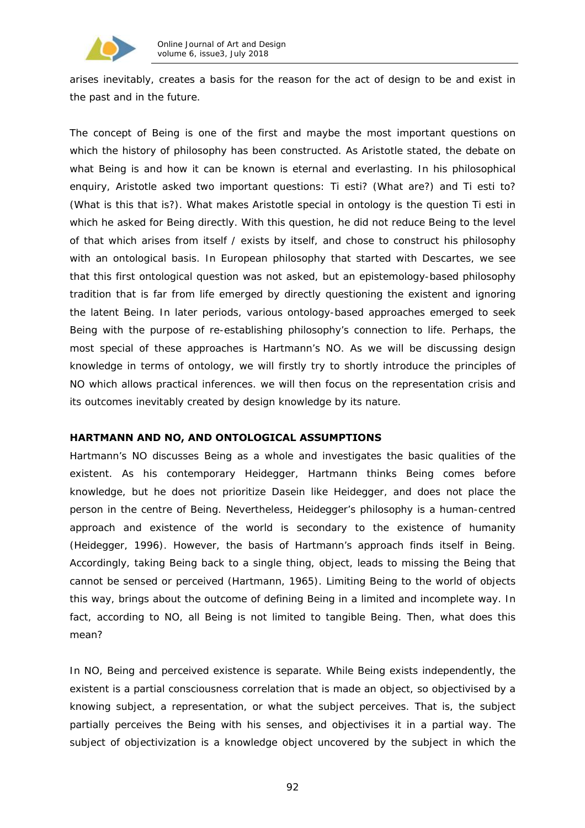

arises inevitably, creates a basis for the reason for the act of design to be and exist in the past and in the future.

The concept of Being is one of the first and maybe the most important questions on which the history of philosophy has been constructed. As Aristotle stated, the debate on what Being is and how it can be known is eternal and everlasting. In his philosophical enquiry, Aristotle asked two important questions: *Ti esti?* (What are?) and *Ti esti to?* (What is this that is?). What makes Aristotle special in ontology is the question *Ti esti* in which he asked for Being directly. With this question, he did not reduce Being to the level of that which arises from itself / exists by itself, and chose to construct his philosophy with an ontological basis. In European philosophy that started with Descartes, we see that this first ontological question was not asked, but an epistemology-based philosophy tradition that is far from life emerged by directly questioning the existent and ignoring the latent Being. In later periods, various ontology-based approaches emerged to seek Being with the purpose of re-establishing philosophy's connection to life. Perhaps, the most special of these approaches is Hartmann's NO. As we will be discussing design knowledge in terms of ontology, we will firstly try to shortly introduce the principles of NO which allows practical inferences. we will then focus on the representation crisis and its outcomes inevitably created by design knowledge by its nature.

## **HARTMANN AND NO, AND ONTOLOGICAL ASSUMPTIONS**

Hartmann's NO discusses Being as a whole and investigates the basic qualities of the existent. As his contemporary Heidegger, Hartmann thinks Being comes before knowledge, but he does not prioritize Dasein like Heidegger, and does not place the person in the centre of Being. Nevertheless, Heidegger's philosophy is a human-centred approach and existence of the world is secondary to the existence of humanity (Heidegger, 1996). However, the basis of Hartmann's approach finds itself in Being. Accordingly, taking Being back to a single thing, object, leads to missing the Being that cannot be sensed or perceived (Hartmann, 1965). Limiting Being to the world of objects this way, brings about the outcome of defining Being in a limited and incomplete way. In fact, according to NO, all Being is not limited to tangible Being. Then, what does this mean?

In NO, Being and perceived existence is separate. While Being exists independently, the existent is a partial consciousness correlation that is made an object, so objectivised by a knowing subject, a representation, or what the subject perceives. That is, the subject partially perceives the Being with his senses, and objectivises it in a partial way. The subject of objectivization is a knowledge object uncovered by the subject in which the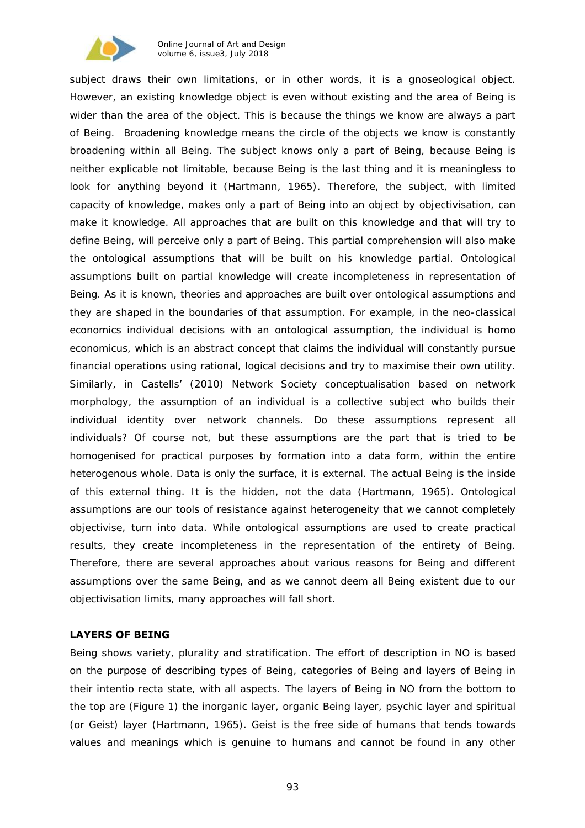

subject draws their own limitations, or in other words, it is a *gnoseological* object. However, an existing knowledge object *is* even without *existing* and the area of Being is wider than the area of the object. This is because the things we know are always a part of Being. Broadening knowledge means the circle of the objects we know is constantly broadening within all Being. The subject knows only a part of Being, because Being is neither explicable not limitable, because Being is the last thing and it is meaningless to look for anything beyond it (Hartmann, 1965). Therefore, the subject, with limited capacity of knowledge, makes only a part of Being into an object by objectivisation, can make it knowledge. All approaches that are built on this knowledge and that will try to define Being, will perceive only a part of Being. This partial comprehension will also make the ontological assumptions that will be built on his knowledge partial. Ontological assumptions built on partial knowledge will create incompleteness in representation of Being. As it is known, theories and approaches are built over ontological assumptions and they are shaped in the boundaries of that assumption. For example, in the neo-classical economics individual decisions with an ontological assumption, the individual is *homo economicus*, which is an abstract concept that claims the individual will constantly pursue financial operations using rational, logical decisions and try to maximise their own utility. Similarly, in Castells' (2010) Network Society conceptualisation based on network morphology, the assumption of an individual is a collective subject who builds their individual identity over network channels. Do these assumptions represent all individuals? Of course not, but these assumptions are the part that is tried to be homogenised for practical purposes by formation into a data form, within the entire heterogenous whole. Data is only the surface, it is external. The actual Being is the inside of this external thing. It is the hidden, not the data (Hartmann, 1965). Ontological assumptions are our tools of resistance against heterogeneity that we cannot completely objectivise, turn into data. While ontological assumptions are used to create practical results, they create incompleteness in the representation of the entirety of Being. Therefore, there are several approaches about various reasons for Being and different assumptions over the same Being, and as we cannot deem all Being existent due to our objectivisation limits, many approaches will fall short.

## **LAYERS OF BEING**

Being shows variety, plurality and stratification. The effort of description in NO is based on the purpose of describing types of Being, categories of Being and layers of Being in their *intentio recta* state, with all aspects. The layers of Being in NO from the bottom to the top are (Figure 1) the inorganic layer, organic Being layer, psychic layer and spiritual (*or Geist*) layer (Hartmann, 1965). Geist is the free side of humans that tends towards values and meanings which is genuine to humans and cannot be found in any other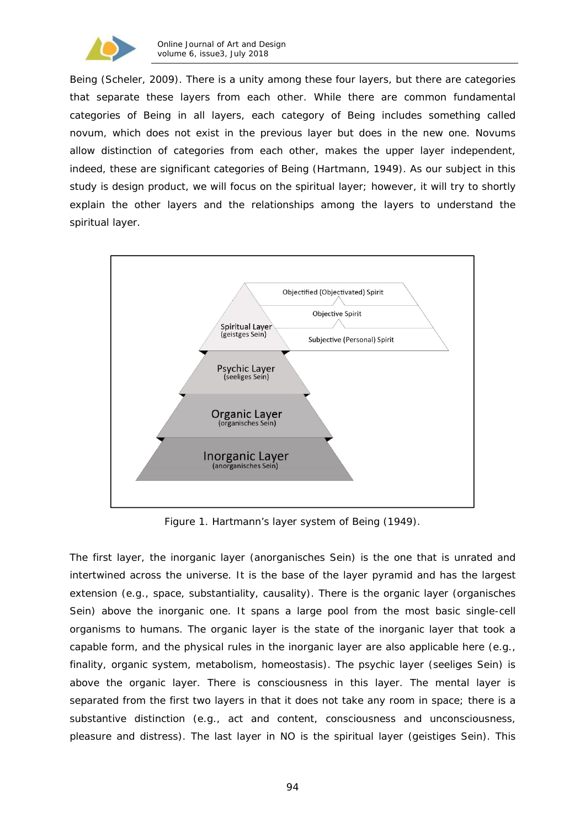

Being (Scheler, 2009). There is a unity among these four layers, but there are categories that separate these layers from each other. While there are common fundamental categories of Being in all layers, each category of Being includes something called *novum*, which does not exist in the previous layer but does in the new one. *Novums*  allow distinction of categories from each other, makes the upper layer independent, indeed, these are significant categories of Being (Hartmann, 1949). As our subject in this study is design product, we will focus on the spiritual layer; however, it will try to shortly explain the other layers and the relationships among the layers to understand the spiritual layer.



Figure 1. Hartmann's layer system of Being (1949).

The first layer, the inorganic layer (*anorganisches Sein*) is the one that is unrated and intertwined across the universe. It is the base of the layer pyramid and has the largest extension (e.g., space, substantiality, causality). There is the organic layer (*organisches Sein*) above the inorganic one. It spans a large pool from the most basic single-cell organisms to humans. The organic layer is the state of the inorganic layer that took a capable form, and the physical rules in the inorganic layer are also applicable here (e.g., finality, organic system, metabolism, homeostasis). The psychic layer (*seeliges Sein*) is above the organic layer. There is consciousness in this layer. The mental layer is separated from the first two layers in that it does not take any room in space; there is a substantive distinction (e.g., act and content, consciousness and unconsciousness, pleasure and distress). The last layer in NO is the spiritual layer (*geistiges Sein*). This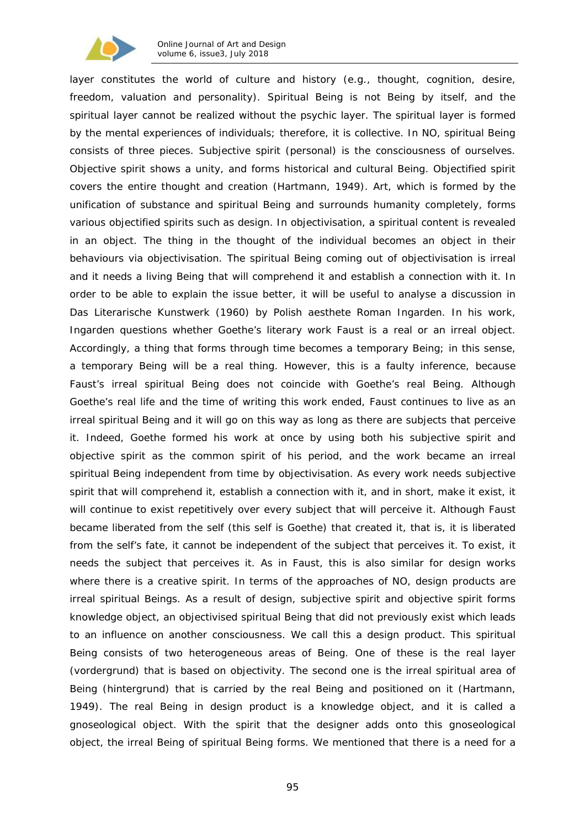

layer constitutes the world of culture and history (e.g., thought, cognition, desire, freedom, valuation and personality). Spiritual Being is not Being by itself, and the spiritual layer cannot be realized without the psychic layer. The spiritual layer is formed by the mental experiences of individuals; therefore, it is collective. In NO, spiritual Being consists of three pieces. Subjective spirit (personal) is the consciousness of ourselves. Objective spirit shows a unity, and forms historical and cultural Being. Objectified spirit covers the entire thought and creation (Hartmann, 1949). Art, which is formed by the unification of substance and spiritual Being and surrounds humanity completely, forms various objectified spirits such as design. In objectivisation, a spiritual content is revealed in an object. The thing in the thought of the individual becomes an object in their behaviours via objectivisation. The spiritual Being coming out of objectivisation is irreal and it needs a living Being that will comprehend it and establish a connection with it. In order to be able to explain the issue better, it will be useful to analyse a discussion in *Das Literarische Kunstwerk* (1960) by Polish aesthete Roman Ingarden. In his work, Ingarden questions whether Goethe's literary work Faust is a real or an irreal object. Accordingly, a thing that forms through time becomes a temporary Being; in this sense, a temporary Being will be a real thing. However, this is a faulty inference, because Faust's irreal spiritual Being does not coincide with Goethe's real Being. Although Goethe's real life and the time of writing this work ended, Faust continues to live as an irreal spiritual Being and it will go on this way as long as there are subjects that perceive it. Indeed, Goethe formed his work at once by using both his subjective spirit and objective spirit as the common spirit of his period, and the work became an irreal spiritual Being independent from time by objectivisation. As every work needs subjective spirit that will comprehend it, establish a connection with it, and in short, make it exist, it will continue to exist repetitively over every subject that will perceive it. Although Faust became liberated from the self (this self is Goethe) that created it, that is, it is liberated from the self's fate, it cannot be independent of the subject that perceives it. To exist, it needs the subject that perceives it. As in Faust, this is also similar for design works where there is a creative spirit. In terms of the approaches of NO, design products are irreal spiritual Beings. As a result of design, subjective spirit and objective spirit forms knowledge object, an objectivised spiritual Being that did not previously exist which leads to an influence on another consciousness. We call this a design product. This spiritual Being consists of two heterogeneous areas of Being. One of these is the real layer (*vordergrund*) that is based on objectivity. The second one is the irreal spiritual area of Being (*hintergrund*) that is carried by the real Being and positioned on it (Hartmann, 1949). The real Being in design product is a knowledge object, and it is called a gnoseological object. With the spirit that the designer adds onto this gnoseological object, the irreal Being of spiritual Being forms. We mentioned that there is a need for a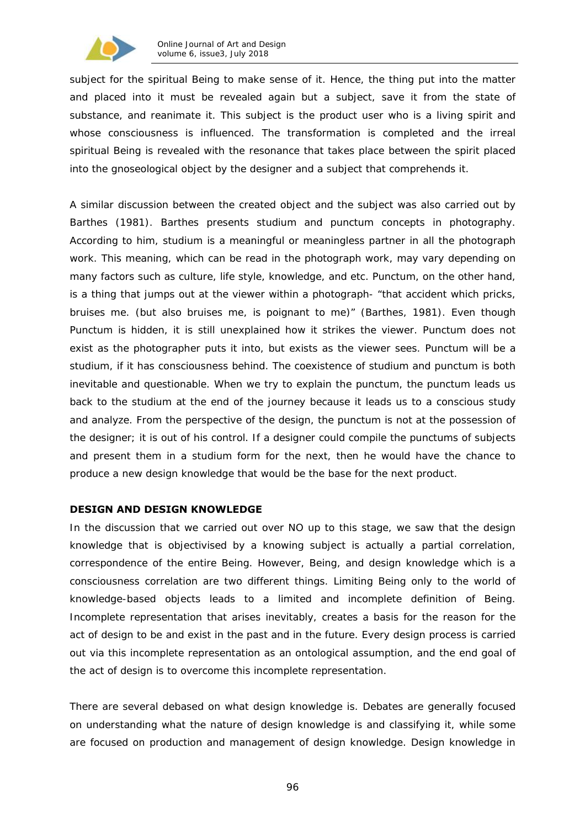

subject for the spiritual Being to make sense of it. Hence, the thing put into the matter and placed into it must be revealed again but a subject, save it from the state of substance, and reanimate it. This subject is the product user who is a living spirit and whose consciousness is influenced. The transformation is completed and the irreal spiritual Being is revealed with the resonance that takes place between the spirit placed into the gnoseological object by the designer and a subject that comprehends it.

A similar discussion between the created object and the subject was also carried out by Barthes (1981). Barthes presents *studium* and *punctum* concepts in photography. According to him, *studium* is a meaningful or meaningless partner in all the photograph work. This meaning, which can be read in the photograph work, may vary depending on many factors such as culture, life style, knowledge, and etc. Punctum, on the other hand, is a thing that jumps out at the viewer within a photograph- "*that accident which pricks, bruises me. (but also bruises me, is poignant to me)*" (Barthes, 1981). Even though Punctum is hidden, it is still unexplained how it strikes the viewer. Punctum does not exist as the photographer puts it into, but exists as the viewer sees. Punctum will be a studium, if it has consciousness behind. The coexistence of studium and punctum is both inevitable and questionable. When we try to explain the punctum, the punctum leads us back to the studium at the end of the journey because it leads us to a conscious study and analyze. From the perspective of the design, the punctum is not at the possession of the designer; it is out of his control. If a designer could compile the punctums of subjects and present them in a studium form for the next, then he would have the chance to produce a new design knowledge that would be the base for the next product.

## **DESIGN AND DESIGN KNOWLEDGE**

In the discussion that we carried out over NO up to this stage, we saw that the design knowledge that is objectivised by a knowing subject is actually a partial correlation, correspondence of the entire Being. However, Being, and design knowledge which is a consciousness correlation are two different things. Limiting Being only to the world of knowledge-based objects leads to a limited and incomplete definition of Being. Incomplete representation that arises inevitably, creates a basis for the reason for the act of design to be and exist in the past and in the future. Every design process is carried out via this incomplete representation as an ontological assumption, and the end goal of the act of design is to overcome this incomplete representation.

There are several debased on what design knowledge is. Debates are generally focused on understanding what the nature of design knowledge is and classifying it, while some are focused on production and management of design knowledge. Design knowledge in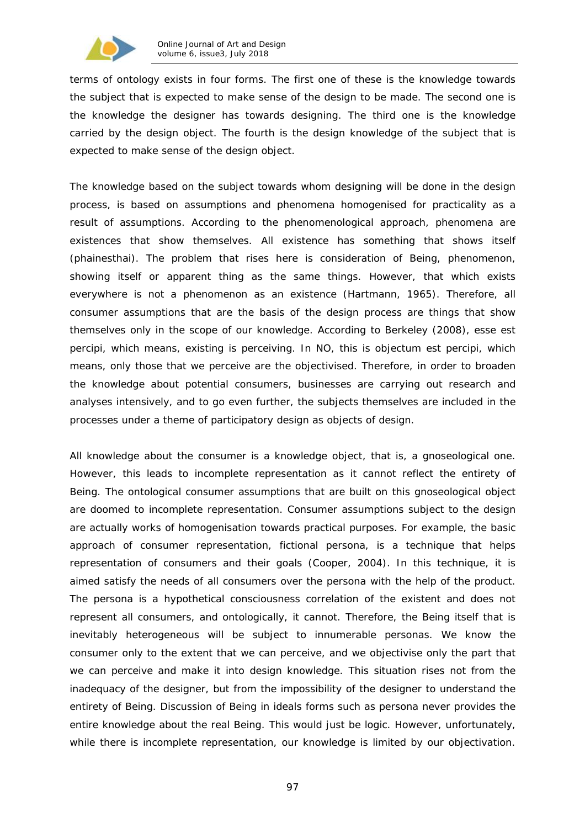

terms of ontology exists in four forms. The first one of these is the knowledge towards the subject that is expected to make sense of the design to be made. The second one is the knowledge the designer has towards designing. The third one is the knowledge carried by the design object. The fourth is the design knowledge of the subject that is expected to make sense of the design object.

The knowledge based on the subject towards whom designing will be done in the design process, is based on assumptions and phenomena homogenised for practicality as a result of assumptions. According to the phenomenological approach, phenomena are existences that show themselves. All existence has something that shows itself (*phainesthai*). The problem that rises here is consideration of Being, phenomenon, showing itself or apparent thing as the same things. However, that which exists everywhere is not a phenomenon as an existence (Hartmann, 1965). Therefore, all consumer assumptions that are the basis of the design process are things that show themselves only in the scope of our knowledge. According to Berkeley (2008), *esse est percipi*, which means, existing is perceiving. In NO, this is *objectum est percipi*, which means, only those that we perceive are the objectivised. Therefore, in order to broaden the knowledge about potential consumers, businesses are carrying out research and analyses intensively, and to go even further, the subjects themselves are included in the processes under a theme of participatory design as objects of design.

All knowledge about the consumer is a knowledge object, that is, a gnoseological one. However, this leads to incomplete representation as it cannot reflect the entirety of Being. The ontological consumer assumptions that are built on this gnoseological object are doomed to incomplete representation. Consumer assumptions subject to the design are actually works of homogenisation towards practical purposes. For example, the basic approach of consumer representation, fictional *persona*, is a technique that helps representation of consumers and their goals (Cooper, 2004). In this technique, it is aimed satisfy the needs of all consumers over the persona with the help of the product. The persona is a hypothetical consciousness correlation of the existent and does not represent all consumers, and ontologically, it cannot. Therefore, the Being itself that is inevitably heterogeneous will be subject to innumerable personas. We know the consumer only to the extent that we can perceive, and we objectivise only the part that we can perceive and make it into design knowledge. This situation rises not from the inadequacy of the designer, but from the impossibility of the designer to understand the entirety of Being. Discussion of Being in ideals forms such as persona never provides the entire knowledge about the real Being. This would just be logic. However, unfortunately, while there is incomplete representation, our knowledge is limited by our objectivation.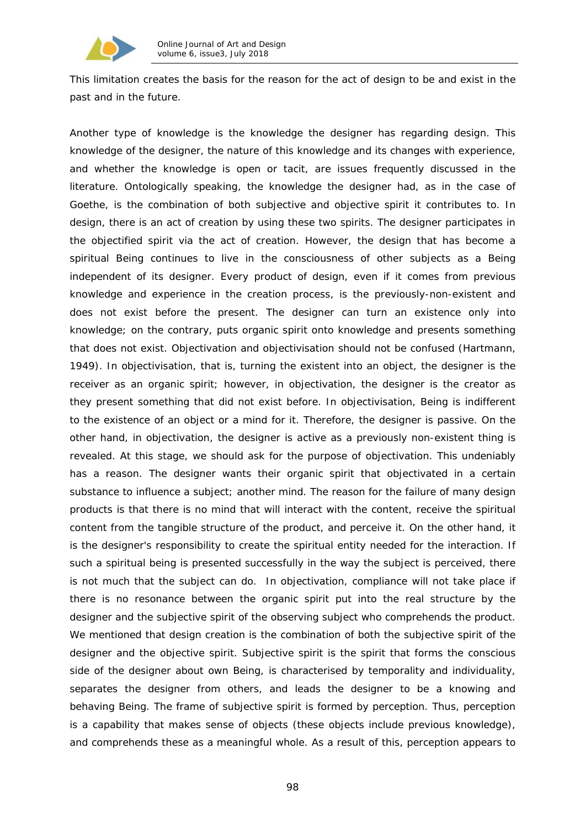

This limitation creates the basis for the reason for the act of design to be and exist in the past and in the future.

Another type of knowledge is the knowledge the designer has regarding design. This knowledge of the designer, the nature of this knowledge and its changes with experience, and whether the knowledge is open or tacit, are issues frequently discussed in the literature. Ontologically speaking, the knowledge the designer had, as in the case of Goethe, is the combination of both subjective and objective spirit it contributes to. In design, there is an act of creation by using these two spirits. The designer participates in the objectified spirit via the act of creation. However, the design that has become a spiritual Being continues to live in the consciousness of other subjects as a Being independent of its designer. Every product of design, even if it comes from previous knowledge and experience in the creation process, is the previously-non-existent and does not exist before the present. The designer can turn an existence only into knowledge; on the contrary, puts organic spirit onto knowledge and presents something that does not exist. Objectivation and objectivisation should not be confused (Hartmann, 1949). In objectivisation, that is, turning the existent into an object, the designer is the receiver as an organic spirit; however, in objectivation, the designer is the creator as they present something that did not exist before. In objectivisation, Being is indifferent to the existence of an object or a mind for it. Therefore, the designer is passive. On the other hand, in objectivation, the designer is active as a previously non-existent thing is revealed. At this stage, we should ask for the purpose of objectivation. This undeniably has a reason. The designer wants their organic spirit that objectivated in a certain substance to influence a subject; another mind. The reason for the failure of many design products is that there is no mind that will interact with the content, receive the spiritual content from the tangible structure of the product, and perceive it. On the other hand, it is the designer's responsibility to create the spiritual entity needed for the interaction. If such a spiritual being is presented successfully in the way the subject is perceived, there is not much that the subject can do. In objectivation, compliance will not take place if there is no resonance between the organic spirit put into the real structure by the designer and the subjective spirit of the observing subject who comprehends the product. We mentioned that design creation is the combination of both the subjective spirit of the designer and the objective spirit. Subjective spirit is the spirit that forms the conscious side of the designer about own Being, is characterised by temporality and individuality, separates the designer from others, and leads the designer to be a knowing and behaving Being. The frame of subjective spirit is formed by perception. Thus, perception is a capability that makes sense of objects (these objects include previous knowledge), and comprehends these as a meaningful whole. As a result of this, perception appears to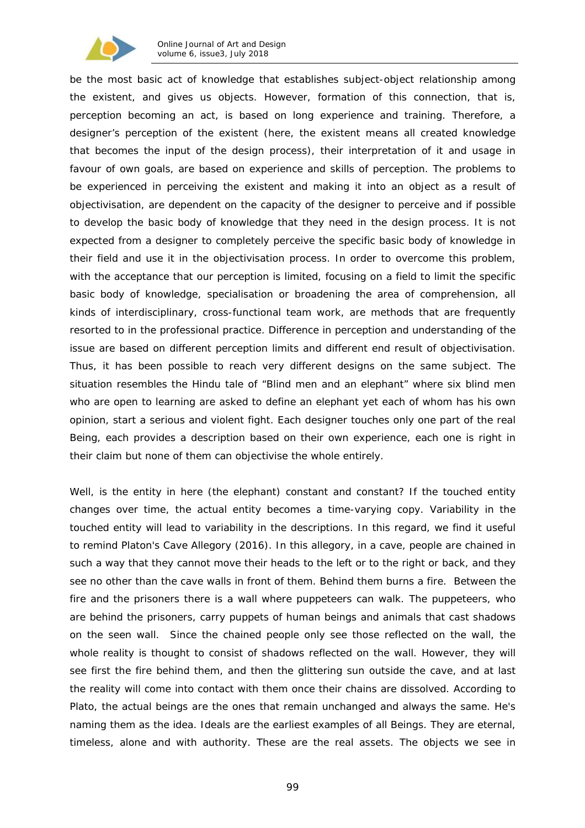

be the most basic act of knowledge that establishes subject-object relationship among the existent, and gives us objects. However, formation of this connection, that is, perception becoming an act, is based on long experience and training. Therefore, a designer's perception of the existent (here, the existent means all created knowledge that becomes the input of the design process), their interpretation of it and usage in favour of own goals, are based on experience and skills of perception. The problems to be experienced in perceiving the existent and making it into an object as a result of objectivisation, are dependent on the capacity of the designer to perceive and if possible to develop the basic body of knowledge that they need in the design process. It is not expected from a designer to completely perceive the specific basic body of knowledge in their field and use it in the objectivisation process. In order to overcome this problem, with the acceptance that our perception is limited, focusing on a field to limit the specific basic body of knowledge, specialisation or broadening the area of comprehension, all kinds of interdisciplinary, cross-functional team work, are methods that are frequently resorted to in the professional practice. Difference in perception and understanding of the issue are based on different perception limits and different end result of objectivisation. Thus, it has been possible to reach very different designs on the same subject. The situation resembles the Hindu tale of "Blind men and an elephant" where six blind men who are open to learning are asked to define an elephant yet each of whom has his own opinion, start a serious and violent fight. Each designer touches only one part of the real Being, each provides a description based on their own experience, each one is right in their claim but none of them can objectivise the whole entirely.

Well, is the entity in here (the elephant) constant and constant? If the touched entity changes over time, the actual entity becomes a time-varying copy. Variability in the touched entity will lead to variability in the descriptions. In this regard, we find it useful to remind Platon's *Cave Allegory* (2016). In this allegory, in a cave, people are chained in such a way that they cannot move their heads to the left or to the right or back, and they see no other than the cave walls in front of them. Behind them burns a fire. Between the fire and the prisoners there is a wall where puppeteers can walk. The puppeteers, who are behind the prisoners, carry puppets of human beings and animals that cast shadows on the seen wall. Since the chained people only see those reflected on the wall, the whole reality is thought to consist of shadows reflected on the wall. However, they will see first the fire behind them, and then the glittering sun outside the cave, and at last the reality will come into contact with them once their chains are dissolved. According to Plato, the actual beings are the ones that remain unchanged and always the same. He's naming them as the *idea*. Ideals are the earliest examples of all Beings. They are eternal, timeless, alone and with authority. These are the real assets. The objects we see in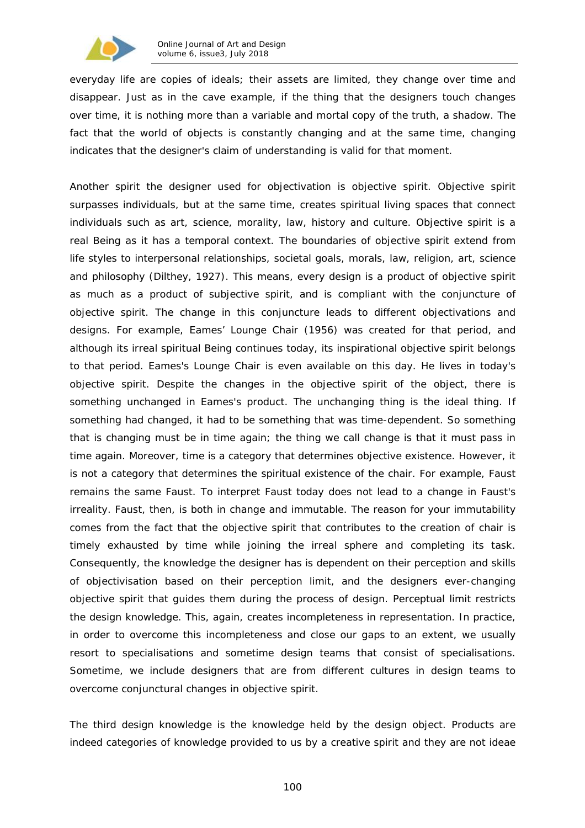

everyday life are copies of ideals; their assets are limited, they change over time and disappear. Just as in the cave example, if the thing that the designers touch changes over time, it is nothing more than a variable and mortal copy of the truth, a shadow. The fact that the world of objects is constantly changing and at the same time, changing indicates that the designer's claim of understanding is valid for that moment.

Another spirit the designer used for objectivation is objective spirit. Objective spirit surpasses individuals, but at the same time, creates spiritual living spaces that connect individuals such as art, science, morality, law, history and culture. Objective spirit is a real Being as it has a temporal context. The boundaries of objective spirit extend from life styles to interpersonal relationships, societal goals, morals, law, religion, art, science and philosophy (Dilthey, 1927). This means, every design is a product of objective spirit as much as a product of subjective spirit, and is compliant with the conjuncture of objective spirit. The change in this conjuncture leads to different objectivations and designs. For example, Eames' Lounge Chair (1956) was created for that period, and although its irreal spiritual Being continues today, its inspirational objective spirit belongs to that period. Eames's Lounge Chair is even available on this day. He lives in today's objective spirit. Despite the changes in the objective spirit of the object, there is something unchanged in Eames's product. The unchanging thing is the ideal thing. If something had changed, it had to be something that was time-dependent. So something that is changing must be in time again; the thing we call change is that it must pass in time again. Moreover, time is a category that determines objective existence. However, it is not a category that determines the spiritual existence of the chair. For example, Faust remains the same Faust. To interpret Faust today does not lead to a change in Faust's irreality. Faust, then, is both in change and immutable. The reason for your immutability comes from the fact that the objective spirit that contributes to the creation of chair is timely exhausted by time while joining the irreal sphere and completing its task. Consequently, the knowledge the designer has is dependent on their perception and skills of objectivisation based on their perception limit, and the designers ever-changing objective spirit that guides them during the process of design. Perceptual limit restricts the design knowledge. This, again, creates incompleteness in representation. In practice, in order to overcome this incompleteness and close our gaps to an extent, we usually resort to specialisations and sometime design teams that consist of specialisations. Sometime, we include designers that are from different cultures in design teams to overcome conjunctural changes in objective spirit.

The third design knowledge is the knowledge held by the design object. Products are indeed categories of knowledge provided to us by a creative spirit and they are not *ideae*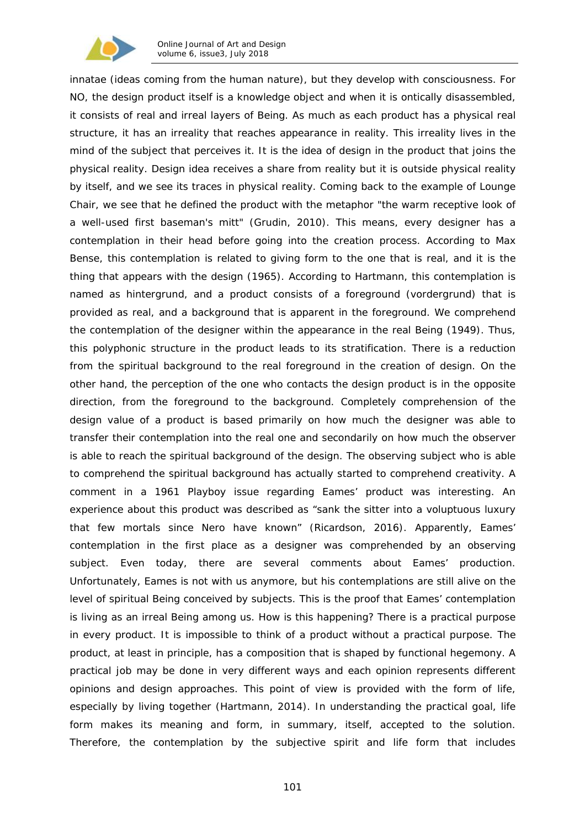

*innatae (*ideas coming from the human nature*),* but they develop with consciousness. For NO, the design product itself is a knowledge object and when it is ontically disassembled, it consists of real and irreal layers of Being. As much as each product has a physical real structure, it has an irreality that reaches appearance in reality. This irreality lives in the mind of the subject that perceives it. It is the idea of design in the product that joins the physical reality. Design idea receives a share from reality but it is outside physical reality by itself, and we see its traces in physical reality. Coming back to the example of Lounge Chair, we see that he defined the product with the metaphor "*the warm receptive look of a well-used first baseman's mitt*" (Grudin, 2010). This means, every designer has a contemplation in their head before going into the creation process. According to Max Bense, this contemplation is related to giving form to the one that is real, and it is the thing that appears with the design (1965). According to Hartmann, this contemplation is named as *hintergrund*, and a product consists of a foreground (*vordergrund*) that is provided as real, and a background that is apparent in the foreground. We comprehend the contemplation of the designer within the appearance in the real Being (1949). Thus, this polyphonic structure in the product leads to its stratification. There is a reduction from the spiritual background to the real foreground in the creation of design. On the other hand, the perception of the one who contacts the design product is in the opposite direction, from the foreground to the background. Completely comprehension of the design value of a product is based primarily on how much the designer was able to transfer their contemplation into the real one and secondarily on how much the observer is able to reach the spiritual background of the design. The observing subject who is able to comprehend the spiritual background has actually started to comprehend creativity. A comment in a 1961 Playboy issue regarding Eames' product was interesting. An experience about this product was described as "*sank the sitter into a voluptuous luxury that few mortals since Nero have known*" (Ricardson, 2016). Apparently, Eames' contemplation in the first place as a designer was comprehended by an observing subject. Even today, there are several comments about Eames' production. Unfortunately, Eames is not with us anymore, but his contemplations are still alive on the level of spiritual Being conceived by subjects. This is the proof that Eames' contemplation is living as an irreal Being among us. How is this happening? There is a practical purpose in every product. It is impossible to think of a product without a practical purpose. The product, at least in principle, has a composition that is shaped by functional hegemony. A practical job may be done in very different ways and each opinion represents different opinions and design approaches. This point of view is provided with the form of life, especially by living together (Hartmann, 2014). In understanding the practical goal, life form makes its meaning and form, in summary, itself, accepted to the solution. Therefore, the contemplation by the subjective spirit and life form that includes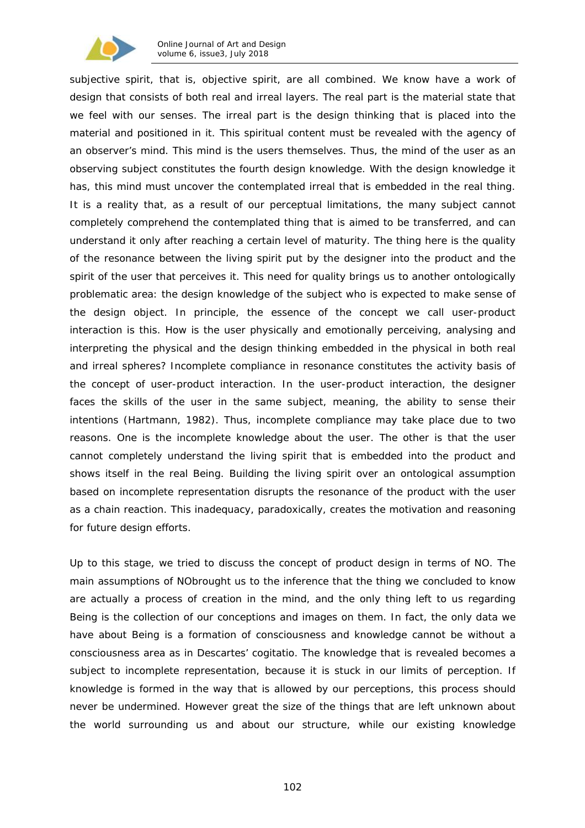

subjective spirit, that is, objective spirit, are all combined. We know have a work of design that consists of both real and irreal layers. The real part is the material state that we feel with our senses. The irreal part is the design thinking that is placed into the material and positioned in it. This spiritual content must be revealed with the agency of an observer's mind. This mind is the users themselves. Thus, the mind of the user as an observing subject constitutes the fourth design knowledge. With the design knowledge it has, this mind must uncover the contemplated irreal that is embedded in the real thing. It is a reality that, as a result of our perceptual limitations, the many subject cannot completely comprehend the contemplated thing that is aimed to be transferred, and can understand it only after reaching a certain level of maturity. The thing here is the quality of the resonance between the living spirit put by the designer into the product and the spirit of the user that perceives it. This need for quality brings us to another ontologically problematic area: the design knowledge of the subject who is expected to make sense of the design object. In principle, the essence of the concept we call user-product interaction is this. How is the user physically and emotionally perceiving, analysing and interpreting the physical and the design thinking embedded in the physical in both real and irreal spheres? Incomplete compliance in resonance constitutes the activity basis of the concept of user-product interaction. In the user-product interaction, the designer faces the skills of the user in the same subject, meaning, the ability to sense their intentions (Hartmann, 1982). Thus, incomplete compliance may take place due to two reasons. One is the incomplete knowledge about the user. The other is that the user cannot completely understand the living spirit that is embedded into the product and shows itself in the real Being. Building the living spirit over an ontological assumption based on incomplete representation disrupts the resonance of the product with the user as a chain reaction. This inadequacy, paradoxically, creates the motivation and reasoning for future design efforts.

Up to this stage, we tried to discuss the concept of product design in terms of NO. The main assumptions of NObrought us to the inference that the thing we concluded to know are actually a process of creation in the mind, and the only thing left to us regarding Being is the collection of our conceptions and images on them. In fact, the only data we have about Being is a formation of consciousness and knowledge cannot *be* without a consciousness area as in Descartes' *cogitatio.* The knowledge that is revealed becomes a subject to incomplete representation, because it is stuck in our limits of perception. If knowledge is formed in the way that is allowed by our perceptions, this process should never be undermined. However great the size of the things that are left unknown about the world surrounding us and about our structure, while our existing knowledge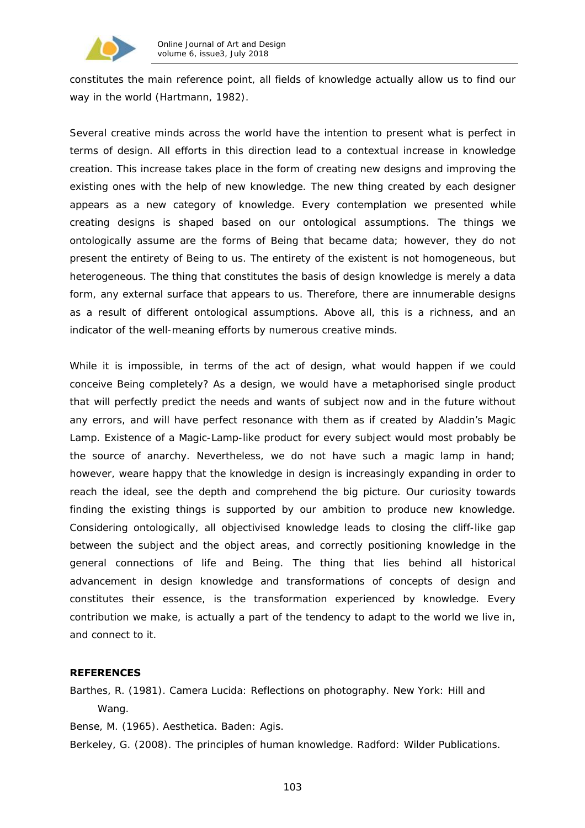

constitutes the main reference point, all fields of knowledge actually allow us to find our way in the world (Hartmann, 1982).

Several creative minds across the world have the intention to present what is perfect in terms of design. All efforts in this direction lead to a contextual increase in knowledge creation. This increase takes place in the form of creating new designs and improving the existing ones with the help of new knowledge. The new thing created by each designer appears as a new category of knowledge. Every contemplation we presented while creating designs is shaped based on our ontological assumptions. The things we ontologically assume are the forms of Being that became data; however, they do not present the entirety of Being to us. The entirety of the existent is not homogeneous, but heterogeneous. The thing that constitutes the basis of design knowledge is merely a data form, any external surface that appears to us. Therefore, there are innumerable designs as a result of different ontological assumptions. Above all, this is a richness, and an indicator of the well-meaning efforts by numerous creative minds.

While it is impossible, in terms of the act of design, what would happen if we could conceive Being completely? As a design, we would have a metaphorised single product that will perfectly predict the needs and wants of subject now and in the future without any errors, and will have perfect resonance with them as if created by Aladdin's Magic Lamp. Existence of a Magic-Lamp-like product for every subject would most probably be the source of anarchy. Nevertheless, we do not have such a magic lamp in hand; however, weare happy that the knowledge in design is increasingly expanding in order to reach the ideal, see the depth and comprehend the big picture. Our curiosity towards finding the existing things is supported by our ambition to produce new knowledge. Considering ontologically, all objectivised knowledge leads to closing the cliff-like gap between the subject and the object areas, and correctly positioning knowledge in the general connections of life and Being. The thing that lies behind all historical advancement in design knowledge and transformations of concepts of design and constitutes their essence, is the transformation experienced by knowledge. Every contribution we make, is actually a part of the tendency to adapt to the world we live in, and connect to it.

## **REFERENCES**

Barthes, R. (1981). *Camera Lucida: Reflections on photography*. New York: Hill and Wang.

Bense, M. (1965). *Aesthetica*. Baden: Agis.

Berkeley, G. (2008). *The principles of human knowledge*. Radford: Wilder Publications.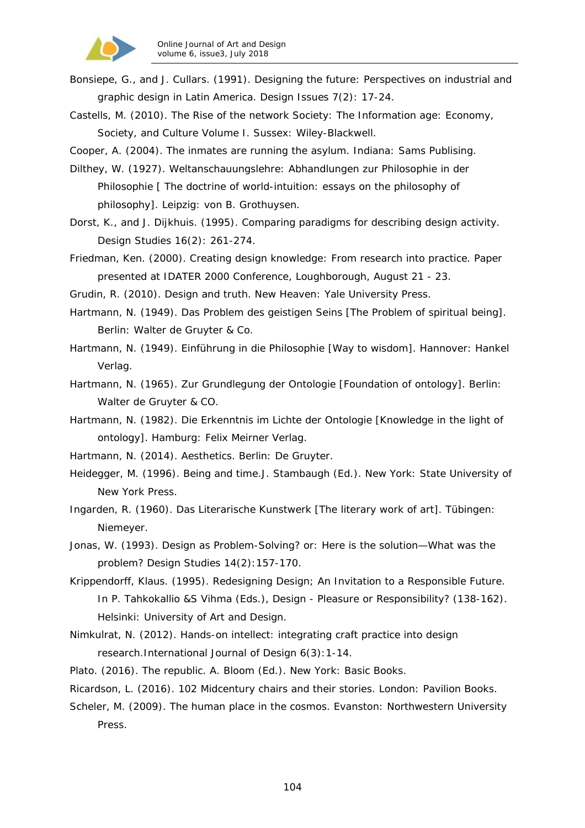

- Bonsiepe, G., and J. Cullars. (1991). Designing the future: Perspectives on industrial and graphic design in Latin America. *Design Issues 7*(2): 17-24.
- Castells, M. (2010). *The Rise of the network Society: The Information age: Economy, Society, and Culture Volume I.* Sussex: Wiley-Blackwell.
- Cooper, A. (2004). *The inmates are running the asylum.* Indiana: Sams Publising.
- Dilthey, W. (1927). Weltanschauungslehre: Abhandlungen zur Philosophie in der Philosophie [ The doctrine of world-intuition: essays on the philosophy of philosophy]. Leipzig: von B. Grothuysen.
- Dorst, K., and J. Dijkhuis. (1995). Comparing paradigms for describing design activity. *Design Studies 16*(2): 261-274.
- Friedman, Ken. (2000). *Creating design knowledge: From research into practice*. Paper presented at IDATER 2000 Conference, Loughborough, August 21 - 23.
- Grudin, R. (2010). *Design and truth*. New Heaven: Yale University Press.
- Hartmann, N. (1949). *Das Problem des geistigen Seins* [The Problem of spiritual being]. Berlin: Walter de Gruyter & Co.
- Hartmann, N. (1949). *Einführung in die Philosophie* [Way to wisdom]. Hannover: Hankel Verlag.
- Hartmann, N. (1965). *Zur Grundlegung der Ontologie* [Foundation of ontology]. Berlin: Walter de Gruyter & CO.
- Hartmann, N. (1982). Die *Erkenntnis im Lichte der Ontologie* [Knowledge in the light of ontology]. Hamburg: Felix Meirner Verlag.
- Hartmann, N. (2014). *Aesthetics*. Berlin: De Gruyter.
- Heidegger, M. (1996). *Being and time.*J. Stambaugh (Ed.). New York: State University of New York Press.
- Ingarden, R. (1960). Das Literarische Kunstwerk [The literary work of art]. Tübingen: Niemeyer.
- Jonas, W. (1993). Design as Problem-Solving? or: Here is the solution—What was the problem? *Design Studies 14*(2):157-170.
- Krippendorff, Klaus. (1995). Redesigning Design; An Invitation to a Responsible Future. In P. Tahkokallio &S Vihma (Eds.), *Design - Pleasure or Responsibility?* (138-162). Helsinki: University of Art and Design.
- Nimkulrat, N. (2012). Hands-on intellect: integrating craft practice into design research.*International Journal of Design 6*(3):1-14.
- Plato. (2016). *The republic*. A. Bloom (Ed.). New York: Basic Books.
- Ricardson, L. (2016). *102 Midcentury chairs and their stories*. London: Pavilion Books.
- Scheler, M. (2009). *The human place in the cosmos*. Evanston: Northwestern University Press.